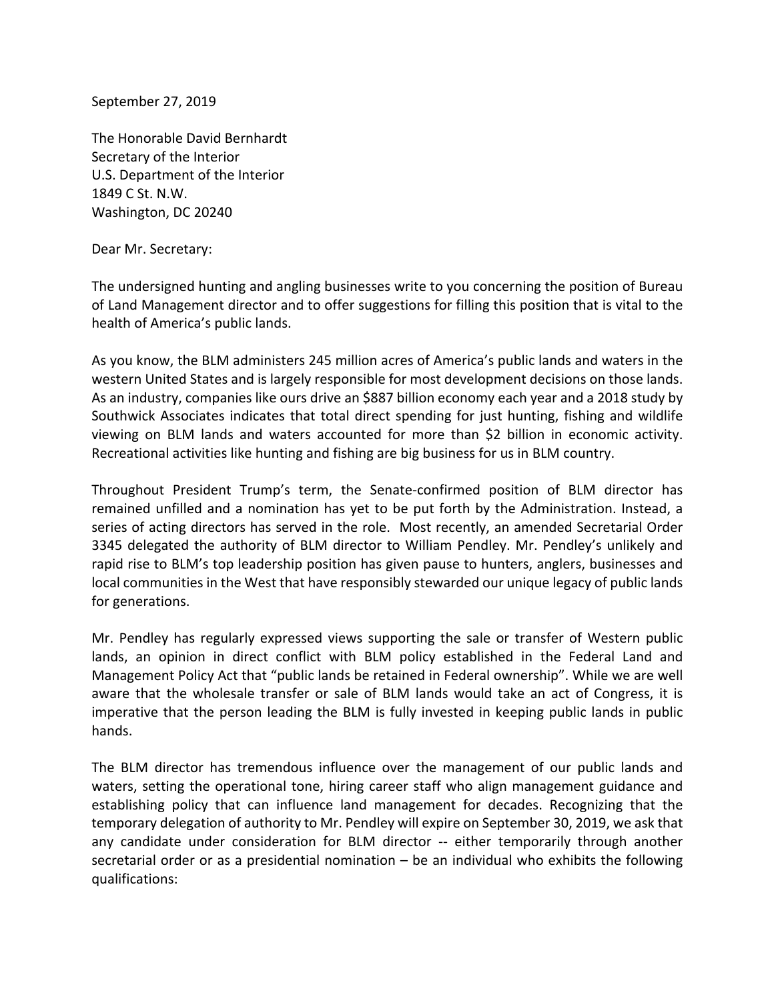September 27, 2019

The Honorable David Bernhardt Secretary of the Interior U.S. Department of the Interior 1849 C St. N.W. Washington, DC 20240

## Dear Mr. Secretary:

The undersigned hunting and angling businesses write to you concerning the position of Bureau of Land Management director and to offer suggestions for filling this position that is vital to the health of America's public lands.

As you know, the BLM administers 245 million acres of America's public lands and waters in the western United States and is largely responsible for most development decisions on those lands. As an industry, companies like ours drive an \$887 billion economy each year and a 2018 study by Southwick Associates indicates that total direct spending for just hunting, fishing and wildlife viewing on BLM lands and waters accounted for more than \$2 billion in economic activity. Recreational activities like hunting and fishing are big business for us in BLM country.

Throughout President Trump's term, the Senate-confirmed position of BLM director has remained unfilled and a nomination has yet to be put forth by the Administration. Instead, a series of acting directors has served in the role. Most recently, an amended Secretarial Order 3345 delegated the authority of BLM director to William Pendley. Mr. Pendley's unlikely and rapid rise to BLM's top leadership position has given pause to hunters, anglers, businesses and local communities in the West that have responsibly stewarded our unique legacy of public lands for generations.

Mr. Pendley has regularly expressed views supporting the sale or transfer of Western public lands, an opinion in direct conflict with BLM policy established in the Federal Land and Management Policy Act that "public lands be retained in Federal ownership". While we are well aware that the wholesale transfer or sale of BLM lands would take an act of Congress, it is imperative that the person leading the BLM is fully invested in keeping public lands in public hands.

The BLM director has tremendous influence over the management of our public lands and waters, setting the operational tone, hiring career staff who align management guidance and establishing policy that can influence land management for decades. Recognizing that the temporary delegation of authority to Mr. Pendley will expire on September 30, 2019, we ask that any candidate under consideration for BLM director -- either temporarily through another secretarial order or as a presidential nomination – be an individual who exhibits the following qualifications: